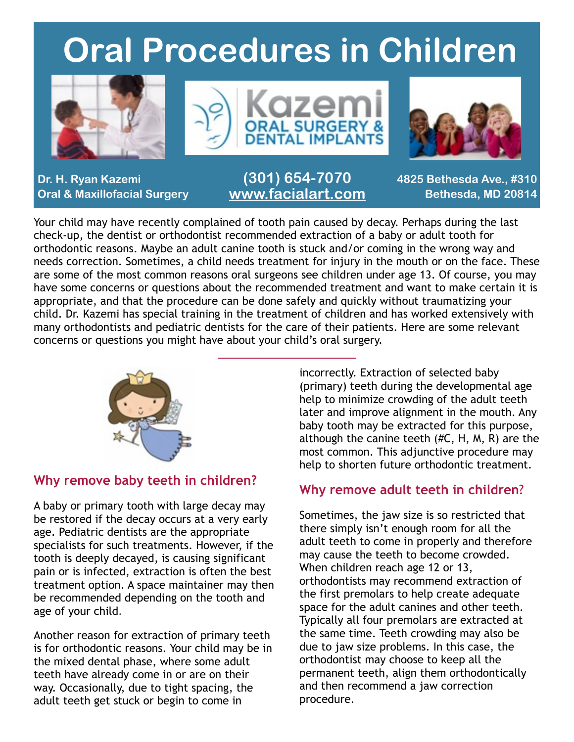### **Oral Procedures in Children**







**Dr. H. Ryan Kazemi Oral & Maxillofacial Surgery**

**(301) 654-7070 [www.facialart.com](http://www.facialart.com)**

**4825 Bethesda Ave., #310 Bethesda, MD 20814**

Your child may have recently complained of tooth pain caused by decay. Perhaps during the last check-up, the dentist or orthodontist recommended extraction of a baby or adult tooth for orthodontic reasons. Maybe an adult canine tooth is stuck and/or coming in the wrong way and needs correction. Sometimes, a child needs treatment for injury in the mouth or on the face. These are some of the most common reasons oral surgeons see children under age 13. Of course, you may have some concerns or questions about the recommended treatment and want to make certain it is appropriate, and that the procedure can be done safely and quickly without traumatizing your child. Dr. Kazemi has special training in the treatment of children and has worked extensively with many orthodontists and pediatric dentists for the care of their patients. Here are some relevant concerns or questions you might have about your child's oral surgery.



#### **Why remove baby teeth in children?**

A baby or primary tooth with large decay may be restored if the decay occurs at a very early age. Pediatric dentists are the appropriate specialists for such treatments. However, if the tooth is deeply decayed, is causing significant pain or is infected, extraction is often the best treatment option. A space maintainer may then be recommended depending on the tooth and age of your child.

Another reason for extraction of primary teeth is for orthodontic reasons. Your child may be in the mixed dental phase, where some adult teeth have already come in or are on their way. Occasionally, due to tight spacing, the adult teeth get stuck or begin to come in

incorrectly. Extraction of selected baby (primary) teeth during the developmental age help to minimize crowding of the adult teeth later and improve alignment in the mouth. Any baby tooth may be extracted for this purpose, although the canine teeth (#C, H, M, R) are the most common. This adjunctive procedure may help to shorten future orthodontic treatment.

#### **Why remove adult teeth in children**?

Sometimes, the jaw size is so restricted that there simply isn't enough room for all the adult teeth to come in properly and therefore may cause the teeth to become crowded. When children reach age 12 or 13, orthodontists may recommend extraction of the first premolars to help create adequate space for the adult canines and other teeth. Typically all four premolars are extracted at the same time. Teeth crowding may also be due to jaw size problems. In this case, the orthodontist may choose to keep all the permanent teeth, align them orthodontically and then recommend a jaw correction procedure.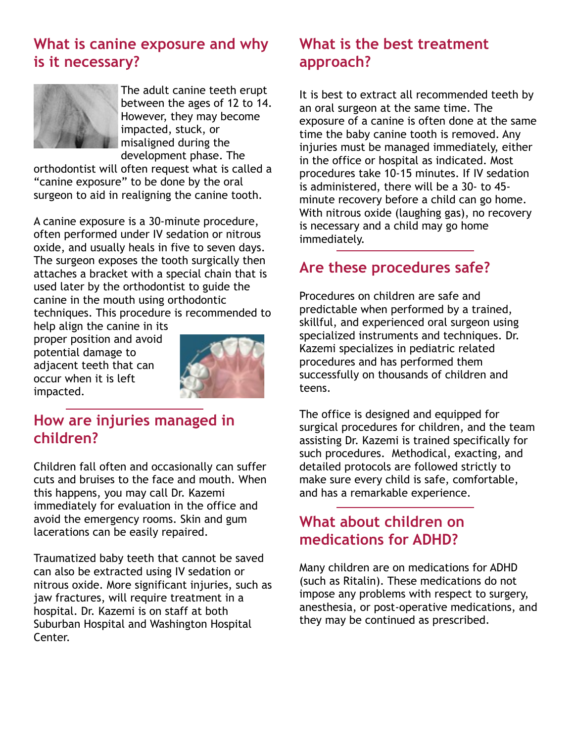#### **What is canine exposure and why is it necessary?**



The adult canine teeth erupt between the ages of 12 to 14. However, they may become impacted, stuck, or misaligned during the development phase. The

orthodontist will often request what is called a "canine exposure" to be done by the oral surgeon to aid in realigning the canine tooth.

A canine exposure is a 30-minute procedure, often performed under IV sedation or nitrous oxide, and usually heals in five to seven days. The surgeon exposes the tooth surgically then attaches a bracket with a special chain that is used later by the orthodontist to guide the canine in the mouth using orthodontic techniques. This procedure is recommended to

help align the canine in its proper position and avoid potential damage to adjacent teeth that can occur when it is left impacted.



#### **How are injuries managed in children?**

Children fall often and occasionally can suffer cuts and bruises to the face and mouth. When this happens, you may call Dr. Kazemi immediately for evaluation in the office and avoid the emergency rooms. Skin and gum lacerations can be easily repaired.

Traumatized baby teeth that cannot be saved can also be extracted using IV sedation or nitrous oxide. More significant injuries, such as jaw fractures, will require treatment in a hospital. Dr. Kazemi is on staff at both Suburban Hospital and Washington Hospital Center.

#### **What is the best treatment approach?**

It is best to extract all recommended teeth by an oral surgeon at the same time. The exposure of a canine is often done at the same time the baby canine tooth is removed. Any injuries must be managed immediately, either in the office or hospital as indicated. Most procedures take 10-15 minutes. If IV sedation is administered, there will be a 30- to 45 minute recovery before a child can go home. With nitrous oxide (laughing gas), no recovery is necessary and a child may go home immediately.

#### **Are these procedures safe?**

Procedures on children are safe and predictable when performed by a trained, skillful, and experienced oral surgeon using specialized instruments and techniques. Dr. Kazemi specializes in pediatric related procedures and has performed them successfully on thousands of children and teens.

The office is designed and equipped for surgical procedures for children, and the team assisting Dr. Kazemi is trained specifically for such procedures. Methodical, exacting, and detailed protocols are followed strictly to make sure every child is safe, comfortable, and has a remarkable experience.

#### **What about children on medications for ADHD?**

Many children are on medications for ADHD (such as Ritalin). These medications do not impose any problems with respect to surgery, anesthesia, or post-operative medications, and they may be continued as prescribed.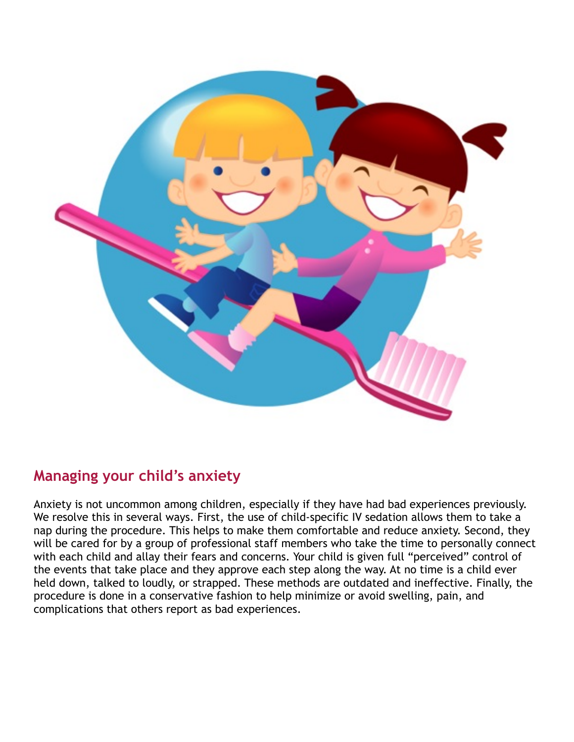

#### **Managing your child's anxiety**

Anxiety is not uncommon among children, especially if they have had bad experiences previously. We resolve this in several ways. First, the use of child-specific IV sedation allows them to take a nap during the procedure. This helps to make them comfortable and reduce anxiety. Second, they will be cared for by a group of professional staff members who take the time to personally connect with each child and allay their fears and concerns. Your child is given full "perceived" control of the events that take place and they approve each step along the way. At no time is a child ever held down, talked to loudly, or strapped. These methods are outdated and ineffective. Finally, the procedure is done in a conservative fashion to help minimize or avoid swelling, pain, and complications that others report as bad experiences.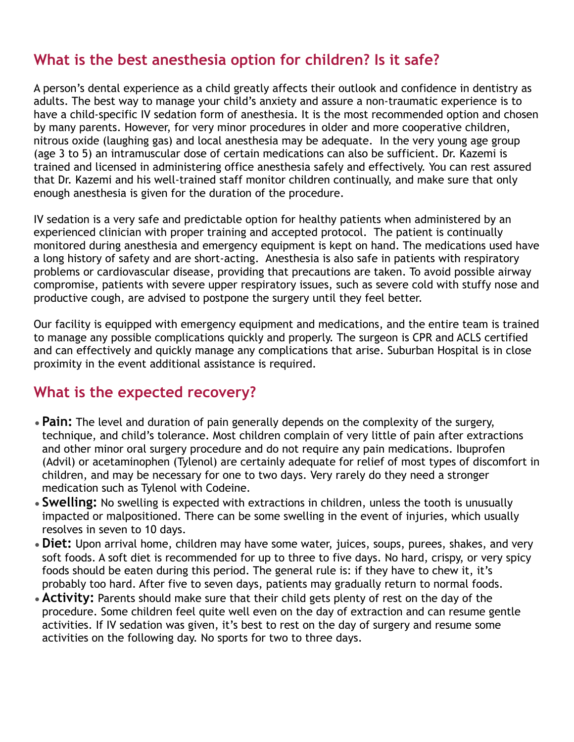#### **What is the best anesthesia option for children? Is it safe?**

A person's dental experience as a child greatly affects their outlook and confidence in dentistry as adults. The best way to manage your child's anxiety and assure a non-traumatic experience is to have a child-specific IV sedation form of anesthesia. It is the most recommended option and chosen by many parents. However, for very minor procedures in older and more cooperative children, nitrous oxide (laughing gas) and local anesthesia may be adequate. In the very young age group (age 3 to 5) an intramuscular dose of certain medications can also be sufficient. Dr. Kazemi is trained and licensed in administering office anesthesia safely and effectively. You can rest assured that Dr. Kazemi and his well-trained staff monitor children continually, and make sure that only enough anesthesia is given for the duration of the procedure.

IV sedation is a very safe and predictable option for healthy patients when administered by an experienced clinician with proper training and accepted protocol. The patient is continually monitored during anesthesia and emergency equipment is kept on hand. The medications used have a long history of safety and are short-acting. Anesthesia is also safe in patients with respiratory problems or cardiovascular disease, providing that precautions are taken. To avoid possible airway compromise, patients with severe upper respiratory issues, such as severe cold with stuffy nose and productive cough, are advised to postpone the surgery until they feel better.

Our facility is equipped with emergency equipment and medications, and the entire team is trained to manage any possible complications quickly and properly. The surgeon is CPR and ACLS certified and can effectively and quickly manage any complications that arise. Suburban Hospital is in close proximity in the event additional assistance is required.

#### **What is the expected recovery?**

- •**Pain:** The level and duration of pain generally depends on the complexity of the surgery, technique, and child's tolerance. Most children complain of very little of pain after extractions and other minor oral surgery procedure and do not require any pain medications. Ibuprofen (Advil) or acetaminophen (Tylenol) are certainly adequate for relief of most types of discomfort in children, and may be necessary for one to two days. Very rarely do they need a stronger medication such as Tylenol with Codeine.
- •**Swelling:** No swelling is expected with extractions in children, unless the tooth is unusually impacted or malpositioned. There can be some swelling in the event of injuries, which usually resolves in seven to 10 days.
- •**Diet:** Upon arrival home, children may have some water, juices, soups, purees, shakes, and very soft foods. A soft diet is recommended for up to three to five days. No hard, crispy, or very spicy foods should be eaten during this period. The general rule is: if they have to chew it, it's probably too hard. After five to seven days, patients may gradually return to normal foods.
- •**Activity:** Parents should make sure that their child gets plenty of rest on the day of the procedure. Some children feel quite well even on the day of extraction and can resume gentle activities. If IV sedation was given, it's best to rest on the day of surgery and resume some activities on the following day. No sports for two to three days.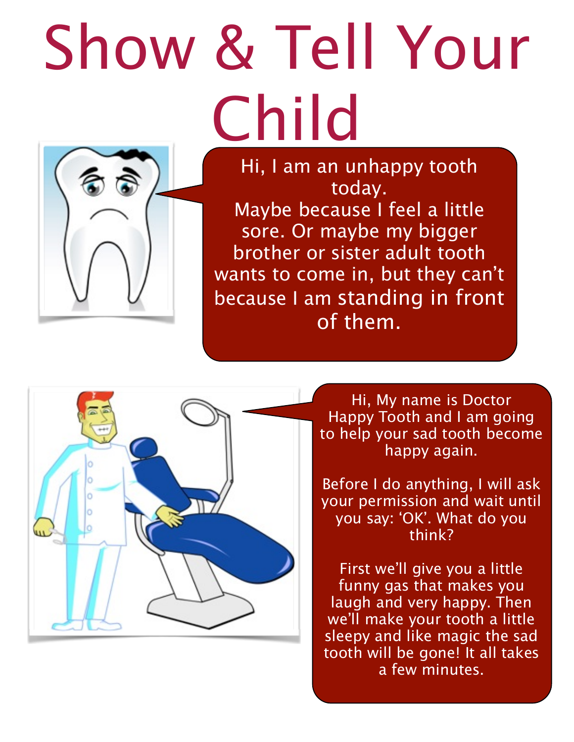# Show & Tell Your Child



Hi, I am an unhappy tooth today. Maybe because I feel a little sore. Or maybe my bigger brother or sister adult tooth wants to come in, but they can't because I am standing in front of them.



Hi, My name is Doctor Happy Tooth and I am going to help your sad tooth become happy again.

Before I do anything, I will ask your permission and wait until you say: 'OK'. What do you think?

First we'll give you a little funny gas that makes you laugh and very happy. Then we'll make your tooth a little sleepy and like magic the sad tooth will be gone! It all takes a few minutes.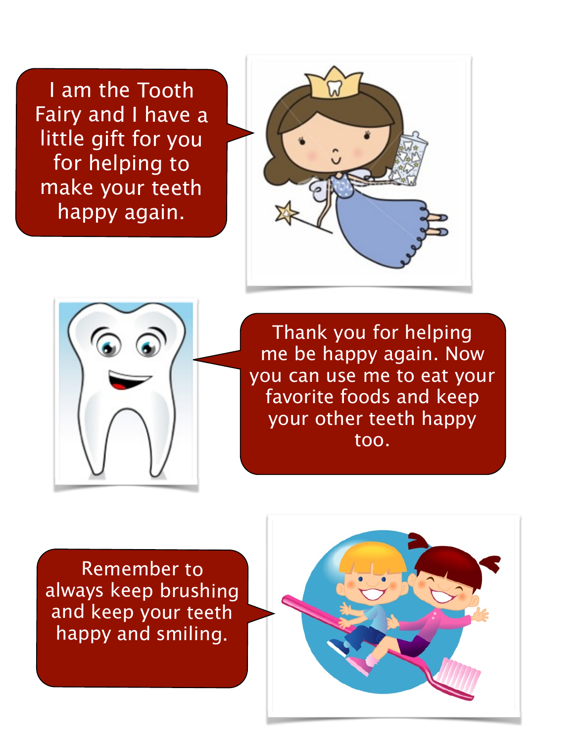I am the Tooth Fairy and I have a little gift for you for helping to make your teeth happy again.





Thank you for helping me be happy again. Now you can use me to eat your favorite foods and keep your other teeth happy too.

Remember to always keep brushing and keep your teeth happy and smiling.

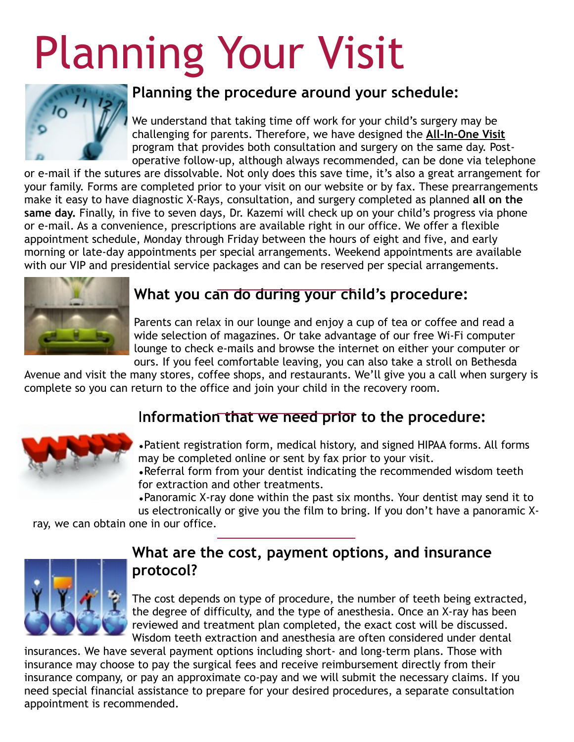## Planning Your Visit



#### **Planning the procedure around your schedule:**

We understand that taking time off work for your child's surgery may be challenging for parents. Therefore, we have designed the **All-In-One Visit** program that provides both consultation and surgery on the same day. Postoperative follow-up, although always recommended, can be done via telephone

or e-mail if the sutures are dissolvable. Not only does this save time, it's also a great arrangement for your family. Forms are completed prior to your visit on our website or by fax. These prearrangements make it easy to have diagnostic X-Rays, consultation, and surgery completed as planned **all on the same day.** Finally, in five to seven days, Dr. Kazemi will check up on your child's progress via phone or e-mail. As a convenience, prescriptions are available right in our office. We offer a flexible appointment schedule, Monday through Friday between the hours of eight and five, and early morning or late-day appointments per special arrangements. Weekend appointments are available with our VIP and presidential service packages and can be reserved per special arrangements.



#### **What you can do during your child's procedure:**

Parents can relax in our lounge and enjoy a cup of tea or coffee and read a wide selection of magazines. Or take advantage of our free Wi-Fi computer lounge to check e-mails and browse the internet on either your computer or ours. If you feel comfortable leaving, you can also take a stroll on Bethesda

Avenue and visit the many stores, coffee shops, and restaurants. We'll give you a call when surgery is complete so you can return to the office and join your child in the recovery room.

#### I**nformation that we need prior to the procedure:**



•Patient registration form, medical history, and signed HIPAA forms. All forms may be completed online or sent by fax prior to your visit.

•Referral form from your dentist indicating the recommended wisdom teeth for extraction and other treatments.

•Panoramic X-ray done within the past six months. Your dentist may send it to

us electronically or give you the film to bring. If you don't have a panoramic X-

ray, we can obtain one in our office.



#### **What are the cost, payment options, and insurance protocol?**

The cost depends on type of procedure, the number of teeth being extracted, the degree of difficulty, and the type of anesthesia. Once an X-ray has been reviewed and treatment plan completed, the exact cost will be discussed. Wisdom teeth extraction and anesthesia are often considered under dental

insurances. We have several payment options including short- and long-term plans. Those with insurance may choose to pay the surgical fees and receive reimbursement directly from their insurance company, or pay an approximate co-pay and we will submit the necessary claims. If you need special financial assistance to prepare for your desired procedures, a separate consultation appointment is recommended.